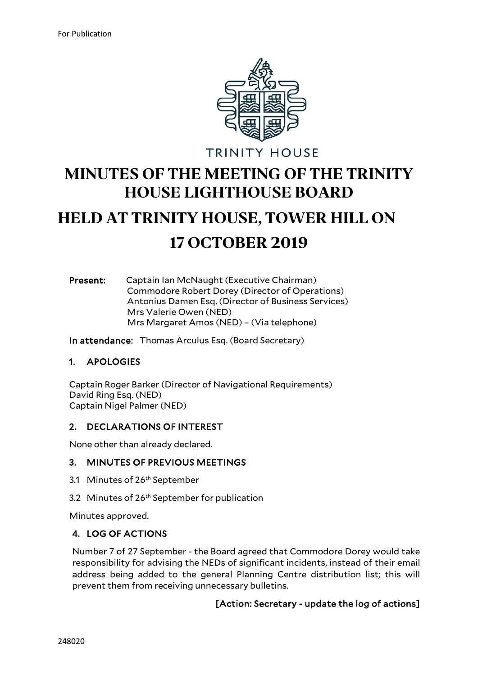

**TRINITY HOUSE** 

## **MINUTES OF THE MEETING OF THE TRINITY HOUSE LIGHTHOUSE BOARD**

# **HELD AT TRINITY HOUSE, TOWER HILL ON 17 OCTOBER 2019**

#### Present: Captain Ian McNaught (Executive Chairman) Commodore Robert Dorey (Director of Operations) Antonius Damen Esq. (Director of Business Services) Mrs Valerie Owen (NED) Mrs Margaret Amos (NED) – (Via telephone)

In attendance: Thomas Arculus Esq. (Board Secretary)

#### 1. APOLOGIES

Captain Roger Barker (Director of Navigational Requirements) David Ring Esq. (NED) Captain Nigel Palmer (NED)

#### 2. DECLARATIONS OF INTEREST

None other than already declared.

#### 3. MINUTES OF PREVIOUS MEETINGS

- 3.1 Minutes of 26<sup>th</sup> September
- 3.2 Minutes of 26<sup>th</sup> September for publication

Minutes approved.

#### 4. LOG OF ACTIONS

Number 7 of 27 September - the Board agreed that Commodore Dorey would take responsibility for advising the NEDs of significant incidents, instead of their email address being added to the general Planning Centre distribution list; this will prevent them from receiving unnecessary bulletins.

#### [Action: Secretary - update the log of actions]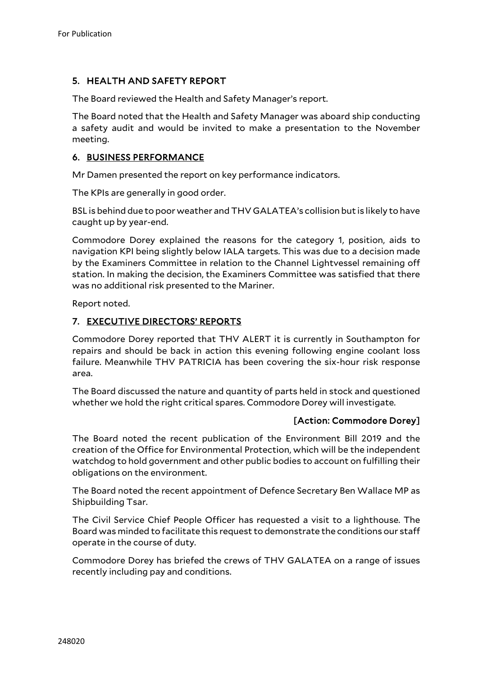## 5. HEALTH AND SAFETY REPORT

The Board reviewed the Health and Safety Manager's report.

The Board noted that the Health and Safety Manager was aboard ship conducting a safety audit and would be invited to make a presentation to the November meeting.

#### 6. BUSINESS PERFORMANCE

Mr Damen presented the report on key performance indicators.

The KPIs are generally in good order.

BSL is behind due to poor weather and THV GALATEA's collision but is likely to have caught up by year-end.

Commodore Dorey explained the reasons for the category 1, position, aids to navigation KPI being slightly below IALA targets. This was due to a decision made by the Examiners Committee in relation to the Channel Lightvessel remaining off station. In making the decision, the Examiners Committee was satisfied that there was no additional risk presented to the Mariner.

Report noted.

#### 7. EXECUTIVE DIRECTORS' REPORTS

Commodore Dorey reported that THV ALERT it is currently in Southampton for repairs and should be back in action this evening following engine coolant loss failure. Meanwhile THV PATRICIA has been covering the six-hour risk response area.

The Board discussed the nature and quantity of parts held in stock and questioned whether we hold the right critical spares. Commodore Dorey will investigate.

#### [Action: Commodore Dorey]

The Board noted the recent publication of the Environment Bill 2019 and the creation of the Office for Environmental Protection, which will be the independent watchdog to hold government and other public bodies to account on fulfilling their obligations on the environment.

The Board noted the recent appointment of Defence Secretary Ben Wallace MP as Shipbuilding Tsar.

The Civil Service Chief People Officer has requested a visit to a lighthouse. The Board was minded to facilitate this request to demonstrate the conditions our staff operate in the course of duty.

Commodore Dorey has briefed the crews of THV GALATEA on a range of issues recently including pay and conditions.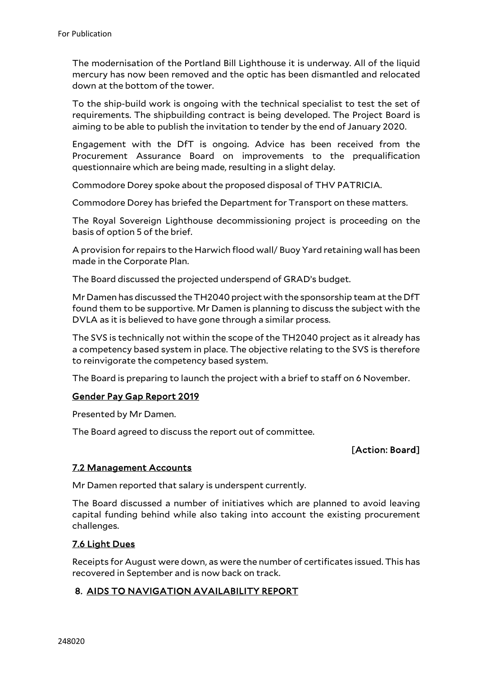The modernisation of the Portland Bill Lighthouse it is underway. All of the liquid mercury has now been removed and the optic has been dismantled and relocated down at the bottom of the tower.

To the ship-build work is ongoing with the technical specialist to test the set of requirements. The shipbuilding contract is being developed. The Project Board is aiming to be able to publish the invitation to tender by the end of January 2020.

Engagement with the DfT is ongoing. Advice has been received from the Procurement Assurance Board on improvements to the prequalification questionnaire which are being made, resulting in a slight delay.

Commodore Dorey spoke about the proposed disposal of THV PATRICIA.

Commodore Dorey has briefed the Department for Transport on these matters.

The Royal Sovereign Lighthouse decommissioning project is proceeding on the basis of option 5 of the brief.

A provision for repairs to the Harwich flood wall/ Buoy Yard retaining wall has been made in the Corporate Plan.

The Board discussed the projected underspend of GRAD's budget.

Mr Damen has discussed the TH2040 project with the sponsorship team at the DfT found them to be supportive. Mr Damen is planning to discuss the subject with the DVLA as it is believed to have gone through a similar process.

The SVS is technically not within the scope of the TH2040 project as it already has a competency based system in place. The objective relating to the SVS is therefore to reinvigorate the competency based system.

The Board is preparing to launch the project with a brief to staff on 6 November.

#### Gender Pay Gap Report 2019

Presented by Mr Damen.

The Board agreed to discuss the report out of committee.

#### [Action: Board]

#### 7.2 Management Accounts

Mr Damen reported that salary is underspent currently.

The Board discussed a number of initiatives which are planned to avoid leaving capital funding behind while also taking into account the existing procurement challenges.

#### 7.6 Light Dues

Receipts for August were down, as were the number of certificates issued. This has recovered in September and is now back on track.

#### 8. AIDS TO NAVIGATION AVAILABILITY REPORT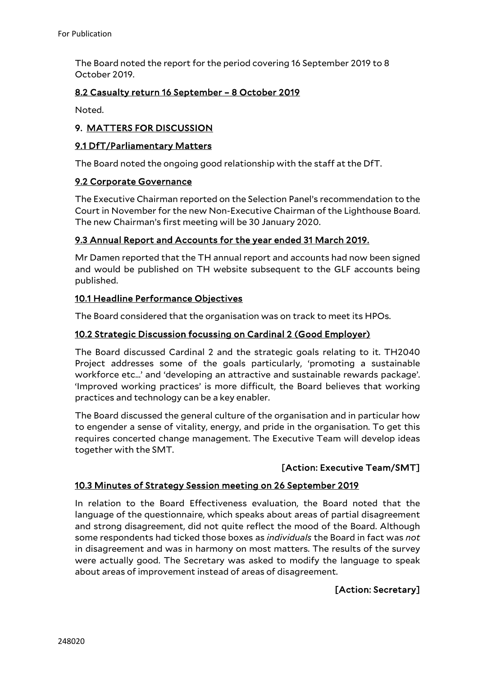The Board noted the report for the period covering 16 September 2019 to 8 October 2019.

#### 8.2 Casualty return 16 September – 8 October 2019

Noted.

#### 9. MATTERS FOR DISCUSSION

#### 9.1 DfT/Parliamentary Matters

The Board noted the ongoing good relationship with the staff at the DfT.

#### 9.2 Corporate Governance

The Executive Chairman reported on the Selection Panel's recommendation to the Court in November for the new Non-Executive Chairman of the Lighthouse Board. The new Chairman's first meeting will be 30 January 2020.

#### 9.3 Annual Report and Accounts for the year ended 31 March 2019.

Mr Damen reported that the TH annual report and accounts had now been signed and would be published on TH website subsequent to the GLF accounts being published.

#### 10.1 Headline Performance Objectives

The Board considered that the organisation was on track to meet its HPOs.

#### 10.2 Strategic Discussion focussing on Cardinal 2 (Good Employer)

The Board discussed Cardinal 2 and the strategic goals relating to it. TH2040 Project addresses some of the goals particularly, 'promoting a sustainable workforce etc…' and 'developing an attractive and sustainable rewards package'. 'Improved working practices' is more difficult, the Board believes that working practices and technology can be a key enabler.

The Board discussed the general culture of the organisation and in particular how to engender a sense of vitality, energy, and pride in the organisation. To get this requires concerted change management. The Executive Team will develop ideas together with the SMT.

#### [Action: Executive Team/SMT]

#### 10.3 Minutes of Strategy Session meeting on 26 September 2019

In relation to the Board Effectiveness evaluation, the Board noted that the language of the questionnaire, which speaks about areas of partial disagreement and strong disagreement, did not quite reflect the mood of the Board. Although some respondents had ticked those boxes as *individuals* the Board in fact was *not* in disagreement and was in harmony on most matters. The results of the survey were actually good. The Secretary was asked to modify the language to speak about areas of improvement instead of areas of disagreement.

#### [Action: Secretary]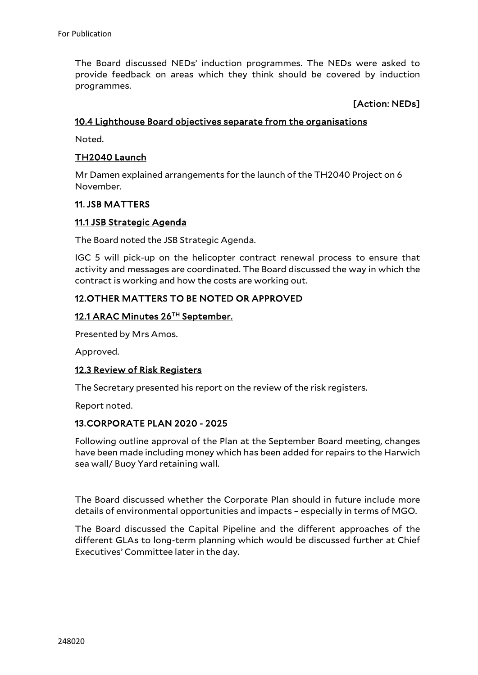The Board discussed NEDs' induction programmes. The NEDs were asked to provide feedback on areas which they think should be covered by induction programmes.

#### [Action: NEDs]

#### 10.4 Lighthouse Board objectives separate from the organisations

Noted.

#### TH2040 Launch

Mr Damen explained arrangements for the launch of the TH2040 Project on 6 November.

#### 11. JSB MATTERS

#### 11.1 JSB Strategic Agenda

The Board noted the JSB Strategic Agenda.

IGC 5 will pick-up on the helicopter contract renewal process to ensure that activity and messages are coordinated. The Board discussed the way in which the contract is working and how the costs are working out.

#### 12. OTHER MATTERS TO BE NOTED OR APPROVED

#### 12.1 ARAC Minutes 26TH September.

Presented by Mrs Amos.

Approved.

#### 12.3 Review of Risk Registers

The Secretary presented his report on the review of the risk registers.

Report noted.

#### 13. CORPORATE PLAN 2020 - 2025

Following outline approval of the Plan at the September Board meeting, changes have been made including money which has been added for repairs to the Harwich sea wall/ Buoy Yard retaining wall.

The Board discussed whether the Corporate Plan should in future include more details of environmental opportunities and impacts – especially in terms of MGO.

The Board discussed the Capital Pipeline and the different approaches of the different GLAs to long-term planning which would be discussed further at Chief Executives' Committee later in the day.